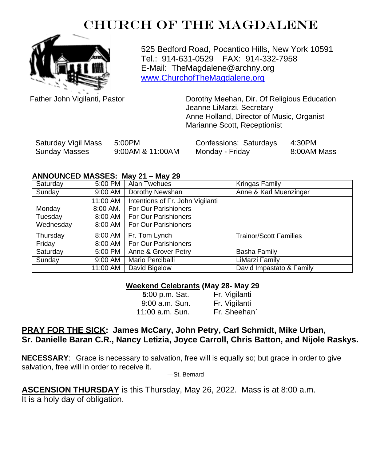# CHURCH OF THE MAGDALENE



525 Bedford Road, Pocantico Hills, New York 10591 Tel.: 914-631-0529 FAX: 914-332-7958 E-Mail: TheMagdalene@archny.org [www.ChurchofTheMagdalene.org](http://www.churchofthemagdalene.org/)

Father John Vigilanti, Pastor **Dorothy Meehan, Dir. Of Religious Education** Jeanne LiMarzi, Secretary Anne Holland, Director of Music, Organist Marianne Scott, Receptionist

| Saturday Vigil Mass | 5:00PM           | Confessions: Saturdays | 4:30PM      |
|---------------------|------------------|------------------------|-------------|
| Sunday Masses       | 9:00AM & 11:00AM | Monday - Friday        | 8:00AM Mass |

#### **ANNOUNCED MASSES: May 21 – May 29**

| Saturday  | 5:00 PM    | Alan Twehues                     | <b>Kringas Family</b>         |
|-----------|------------|----------------------------------|-------------------------------|
| Sunday    | 9:00 AM    | Dorothy Newshan                  | Anne & Karl Muenzinger        |
|           | 11:00 AM   | Intentions of Fr. John Vigilanti |                               |
| Monday    | $8:00$ AM. | For Our Parishioners             |                               |
| Tuesday   | 8:00 AM    | For Our Parishioners             |                               |
| Wednesday | 8:00 AM    | For Our Parishioners             |                               |
| Thursday  | 8:00 AM    | Fr. Tom Lynch                    | <b>Trainor/Scott Families</b> |
| Friday    | 8:00 AM    | For Our Parishioners             |                               |
| Saturday  | 5:00 PM    | Anne & Grover Petry              | <b>Basha Family</b>           |
| Sunday    | 9:00 AM    | Mario Perciballi                 | LiMarzi Family                |
|           | 11:00 AM   | David Bigelow                    | David Impastato & Family      |

#### **Weekend Celebrants (May 28- May 29**

| 5:00 p.m. Sat.   | Fr. Vigilanti |
|------------------|---------------|
| $9:00$ a.m. Sun. | Fr. Vigilanti |
| 11:00 a.m. Sun.  | Fr. Sheehan   |

### **PRAY FOR THE SICK: James McCary, John Petry, Carl Schmidt, Mike Urban, Sr. Danielle Baran C.R., Nancy Letizia, Joyce Carroll, Chris Batton, and Nijole Raskys.**

**NECESSARY**: Grace is necessary to salvation, free will is equally so; but grace in order to give salvation, free will in order to receive it.

—St. Bernard

**ASCENSION THURSDAY** is this Thursday, May 26, 2022. Mass is at 8:00 a.m.

It is a holy day of obligation.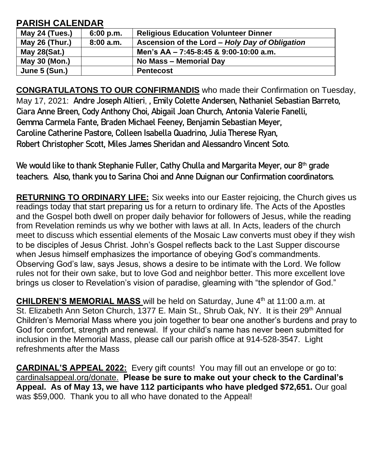## **PARISH CALENDAR**

| May 24 (Tues.) | 6:00 p.m. | <b>Religious Education Volunteer Dinner</b>    |
|----------------|-----------|------------------------------------------------|
| May 26 (Thur.) | 8:00a.m.  | Ascension of the Lord - Holy Day of Obligation |
| May 28(Sat.)   |           | Men's AA - 7:45-8:45 & 9:00-10:00 a.m.         |
| May 30 (Mon.)  |           | No Mass - Memorial Day                         |
| June 5 (Sun.)  |           | <b>Pentecost</b>                               |

**CONGRATULATONS TO OUR CONFIRMANDIS** who made their Confirmation on Tuesday, May 17, 2021: **Andre Joseph Altieri**, **, Emily Colette Andersen, Nathaniel Sebastian Barreto, Ciara Anne Breen, Cody Anthony Choi, Abigail Joan Church, Antonia Valerie Fanelli, Gemma Carmela Fante, Braden Michael Feeney, Benjamin Sebastian Meyer, Caroline Catherine Pastore, Colleen Isabella Quadrino, Julia Therese Ryan, Robert Christopher Scott, Miles James Sheridan and Alessandro Vincent Soto.**

**We would like to thank Stephanie Fuller, Cathy Chulla and Margarita Meyer, our 8th grade teachers. Also, thank you to Sarina Choi and Anne Duignan our Confirmation coordinators.**

**RETURNING TO ORDINARY LIFE:** Six weeks into our Easter rejoicing, the Church gives us readings today that start preparing us for a return to ordinary life. The Acts of the Apostles and the Gospel both dwell on proper daily behavior for followers of Jesus, while the reading from Revelation reminds us why we bother with laws at all. In Acts, leaders of the church meet to discuss which essential elements of the Mosaic Law converts must obey if they wish to be disciples of Jesus Christ. John's Gospel reflects back to the Last Supper discourse when Jesus himself emphasizes the importance of obeying God's commandments. Observing God's law, says Jesus, shows a desire to be intimate with the Lord. We follow rules not for their own sake, but to love God and neighbor better. This more excellent love brings us closer to Revelation's vision of paradise, gleaming with "the splendor of God."

**CHILDREN'S MEMORIAL MASS** will be held on Saturday, June 4<sup>th</sup> at 11:00 a.m. at St. Elizabeth Ann Seton Church, 1377 E. Main St., Shrub Oak, NY. It is their 29<sup>th</sup> Annual Children's Memorial Mass where you join together to bear one another's burdens and pray to God for comfort, strength and renewal. If your child's name has never been submitted for inclusion in the Memorial Mass, please call our parish office at 914-528-3547. Light refreshments after the Mass

**CARDINAL'S APPEAL 2022:** Every gift counts! You may fill out an envelope or go to: cardinalsappeal.org/donate. **Please be sure to make out your check to the Cardinal's Appeal. As of May 13, we have 112 participants who have pledged \$72,651.** Our goal was \$59,000. Thank you to all who have donated to the Appeal!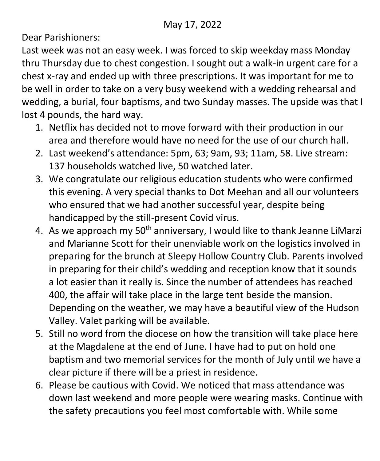Dear Parishioners:

Last week was not an easy week. I was forced to skip weekday mass Monday thru Thursday due to chest congestion. I sought out a walk-in urgent care for a chest x-ray and ended up with three prescriptions. It was important for me to be well in order to take on a very busy weekend with a wedding rehearsal and wedding, a burial, four baptisms, and two Sunday masses. The upside was that I lost 4 pounds, the hard way.

- 1. Netflix has decided not to move forward with their production in our area and therefore would have no need for the use of our church hall.
- 2. Last weekend's attendance: 5pm, 63; 9am, 93; 11am, 58. Live stream: 137 households watched live, 50 watched later.
- 3. We congratulate our religious education students who were confirmed this evening. A very special thanks to Dot Meehan and all our volunteers who ensured that we had another successful year, despite being handicapped by the still-present Covid virus.
- 4. As we approach my 50<sup>th</sup> anniversary, I would like to thank Jeanne LiMarzi and Marianne Scott for their unenviable work on the logistics involved in preparing for the brunch at Sleepy Hollow Country Club. Parents involved in preparing for their child's wedding and reception know that it sounds a lot easier than it really is. Since the number of attendees has reached 400, the affair will take place in the large tent beside the mansion. Depending on the weather, we may have a beautiful view of the Hudson Valley. Valet parking will be available.
- 5. Still no word from the diocese on how the transition will take place here at the Magdalene at the end of June. I have had to put on hold one baptism and two memorial services for the month of July until we have a clear picture if there will be a priest in residence.
- 6. Please be cautious with Covid. We noticed that mass attendance was down last weekend and more people were wearing masks. Continue with the safety precautions you feel most comfortable with. While some